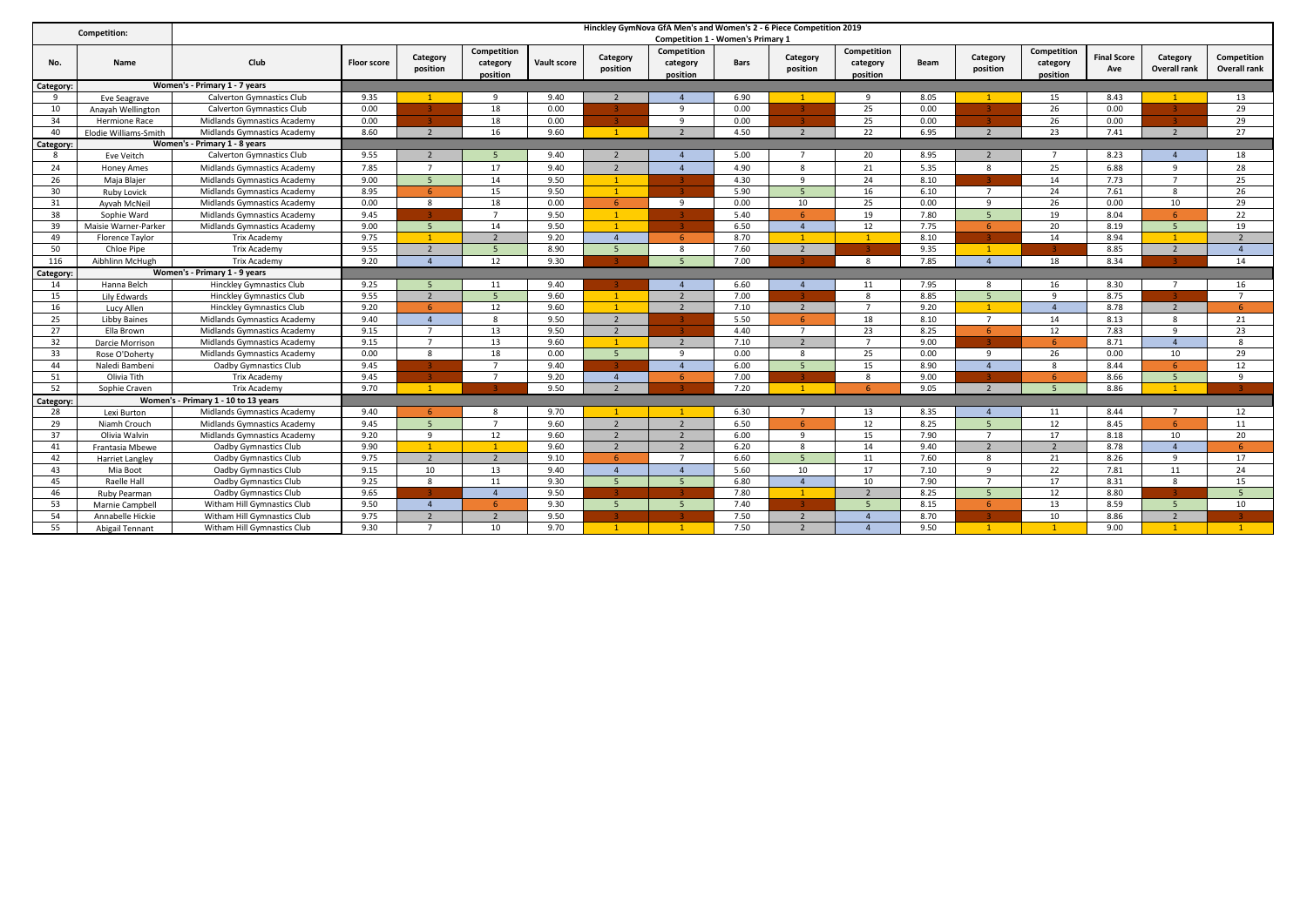| Competition: |                               |                                      |                    |                          |                                     |             |                          | Hinckley GymNova GfA Men's and Women's 2 - 6 Piece Competition 2019 |      |                          |                                     |             |                      |                                     |                           |                                 |                             |
|--------------|-------------------------------|--------------------------------------|--------------------|--------------------------|-------------------------------------|-------------|--------------------------|---------------------------------------------------------------------|------|--------------------------|-------------------------------------|-------------|----------------------|-------------------------------------|---------------------------|---------------------------------|-----------------------------|
|              |                               |                                      |                    |                          |                                     |             |                          | <b>Competition 1 - Women's Primary 1</b>                            |      |                          |                                     |             |                      |                                     |                           |                                 |                             |
| No.          | Name                          | Club                                 | <b>Floor score</b> | Category<br>position     | Competition<br>category<br>position | Vault score | Category<br>position     | Competition<br>category<br>position                                 | Bars | Category<br>position     | Competition<br>category<br>position | <b>Beam</b> | Category<br>position | Competition<br>category<br>position | <b>Final Score</b><br>Ave | Category<br><b>Overall rank</b> | Competition<br>Overall rank |
| Category:    |                               | Women's - Primary 1 - 7 years        |                    |                          |                                     |             |                          |                                                                     |      |                          |                                     |             |                      |                                     |                           |                                 |                             |
| -9           | Eve Seagrave                  | <b>Calverton Gymnastics Club</b>     | 9.35               |                          | $\alpha$                            | 9.40        |                          |                                                                     | 6.90 |                          | $\mathbf{q}$                        | 8.05        |                      | 15                                  | 8.43                      |                                 | 13                          |
| 10           | Anavah Wellington             | <b>Calverton Gymnastics Club</b>     | 0.00               |                          | 18                                  | 0.00        |                          | $\mathbf{q}$                                                        | 0.00 |                          | 25                                  | 0.00        |                      | 26                                  | 0.00                      |                                 | 29                          |
| 34           | <b>Hermione Race</b>          | Midlands Gymnastics Academy          | 0.00               |                          | 18                                  | 0.00        |                          | $\mathbf{q}$                                                        | 0.00 |                          | 25                                  | 0.00        |                      | 26                                  | 0.00                      |                                 | 29                          |
| 40           | Elodie Williams-Smith         | Midlands Gymnastics Academy          | 8.60               | $\overline{\phantom{a}}$ | 16                                  | 9.60        | $\overline{1}$           | $\overline{2}$                                                      | 4.50 | $\overline{\phantom{a}}$ | 22                                  | 6.95        | $\overline{2}$       | 23                                  | 7.41                      | $\overline{2}$                  | 27                          |
| Category:    |                               | Women's - Primary 1 - 8 years        |                    |                          |                                     |             |                          |                                                                     |      |                          |                                     |             |                      |                                     |                           |                                 |                             |
| 8            | Eve Veitch                    | <b>Calverton Gymnastics Club</b>     | 9.55               |                          |                                     | 9.40        |                          |                                                                     | 5.00 |                          | 20                                  | 8.95        | $\overline{2}$       |                                     | 8.23                      |                                 | 18                          |
| 24           | <b>Honey Ames</b>             | Midlands Gymnastics Academy          | 7.85               | $\overline{7}$           | 17                                  | 9.40        | $\overline{2}$           |                                                                     | 4.90 | 8                        | 21                                  | 5.35        | 8                    | 25                                  | 6.88                      | 9                               | 28                          |
| 26           | Maja Blajer                   | Midlands Gymnastics Academy          | 9.00               | $5\overline{5}$          | 14                                  | 9.50        |                          |                                                                     | 4.30 | 9                        | 24                                  | 8.10        |                      | 14                                  | 7.73                      | $\overline{7}$                  | 25                          |
| 30           | <b>Ruby Lovick</b>            | Midlands Gymnastics Academy          | 8.95               | -6                       | 15                                  | 9.50        | $\overline{1}$           |                                                                     | 5.90 | 5 <sup>1</sup>           | 16                                  | 6.10        | $\overline{7}$       | 24                                  | 7.61                      | 8                               | 26                          |
| 31           | Ayvah McNeil                  | Midlands Gymnastics Academy          | 0.00               | 8                        | 18                                  | 0.00        | 6                        | -9                                                                  | 0.00 | 10                       | 25                                  | 0.00        | 9                    | 26                                  | 0.00                      | 10                              | 29                          |
| 38           | Sophie Ward                   | Midlands Gymnastics Academy          | 9.45               |                          |                                     | 9.50        | $\mathbf{1}$             |                                                                     | 5.40 | 6                        | 19                                  | 7.80        | $5 -$                | 19                                  | 8.04                      |                                 | 22                          |
| 39           | Maisie Warner-Parker          | Midlands Gymnastics Academy          | 9.00               | $-5$                     | 14                                  | 9.50        | $\sim$                   |                                                                     | 6.50 | $\overline{4}$           | 12                                  | 7.75        | -6                   | 20                                  | 8.19                      | 5                               | 19                          |
| 49           | <b>Florence Taylor</b>        | <b>Trix Academy</b>                  | 9.75               |                          |                                     | 9.20        | $\overline{4}$           | -6                                                                  | 8.70 |                          | $\mathbf{1}$                        | 8.10        |                      | 14                                  | 8.94                      |                                 | $\overline{2}$              |
| 50           | Chloe Pipe                    | <b>Trix Academy</b>                  | 9.55               |                          |                                     | 8.90        | 5                        | 8                                                                   | 7.60 | $\overline{2}$           |                                     | 9.35        |                      |                                     | 8.85                      | $\overline{2}$                  | $\overline{4}$              |
| 116          | Aibhlinn McHugh               | <b>Trix Academy</b>                  | 9.20               |                          | 12                                  | 9.30        |                          | $\overline{5}$                                                      | 7.00 |                          | $\mathbf{R}$                        | 7.85        | $\overline{a}$       | 18                                  | 8.34                      |                                 | 14                          |
| Category:    | Women's - Primary 1 - 9 years |                                      |                    |                          |                                     |             |                          |                                                                     |      |                          |                                     |             |                      |                                     |                           |                                 |                             |
| 14           | Hanna Belch                   | <b>Hinckley Gymnastics Club</b>      | 9.25               | $\overline{\phantom{a}}$ | 11                                  | 9.40        |                          |                                                                     | 6.60 | $\overline{a}$           | 11                                  | 7.95        | 8                    | 16                                  | 8.30                      | $\overline{7}$                  | 16                          |
| 15           | Lily Edwards                  | <b>Hinckley Gymnastics Club</b>      | 9.55               | $\overline{2}$           |                                     | 9.60        |                          | $\overline{\phantom{a}}$                                            | 7.00 |                          | $\mathbf{R}$                        | 8.85        | $\overline{5}$       | $\mathbf{q}$                        | 8.75                      |                                 | $\overline{7}$              |
| 16           | Lucy Allen                    | <b>Hinckley Gymnastics Club</b>      | 9.20               | 6                        | 12                                  | 9.60        |                          | $\overline{2}$                                                      | 7.10 | $\overline{2}$           | $\overline{7}$                      | 9.20        |                      | $\overline{4}$                      | 8.78                      | $\overline{2}$                  | 6                           |
| 25           | <b>Libby Baines</b>           | Midlands Gymnastics Academy          | 9.40               | $\overline{a}$           | $\mathbf{R}$                        | 9.50        | 2                        |                                                                     | 5.50 | -6                       | 18                                  | 8.10        | $\overline{7}$       | 14                                  | 8.13                      | 8                               | 21                          |
| 27           | Ella Brown                    | Midlands Gymnastics Academy          | 9.15               |                          | 13                                  | 9.50        | $\overline{2}$           |                                                                     | 4.40 |                          | 23                                  | 8.25        | -6                   | 12                                  | 7.83                      | $\overline{9}$                  | 23                          |
| 32           | Darcie Morrison               | Midlands Gymnastics Academy          | 9.15               | $\overline{7}$           | 13                                  | 9.60        | $\sim$                   | $\overline{2}$                                                      | 7.10 | $\overline{2}$           | $\overline{7}$                      | 9.00        |                      | -6                                  | 8.71                      | $\overline{4}$                  | 8                           |
| 33           | Rose O'Doherty                | Midlands Gymnastics Academy          | 0.00               | 8                        | 18                                  | 0.00        | $\overline{5}$           | $\mathbf{q}$                                                        | 0.00 | 8                        | 25                                  | 0.00        | 9                    | 26                                  | 0.00                      | 10                              | 29                          |
| 44           | Naledi Bambeni                | Oadby Gymnastics Club                | 9.45               |                          |                                     | 9.40        |                          | $\Lambda$                                                           | 6.00 | $\overline{5}$           | 15                                  | 8.90        | $\overline{a}$       | $\mathbf{R}$                        | 8.44                      | $\epsilon$                      | 12                          |
| 51           | Olivia Tith                   | <b>Trix Academy</b>                  | 9.45               |                          | $\overline{7}$                      | 9.20        | $\Delta$                 | 6                                                                   | 7.00 | 3.                       | 8                                   | 9.00        |                      | -6                                  | 8.66                      | 5                               | 9                           |
| 52           | Sophie Craven                 | <b>Trix Academy</b>                  | 9.70               |                          |                                     | 9.50        | $\overline{\phantom{a}}$ |                                                                     | 7.20 |                          | 6                                   | 9.05        | ຳ                    | $5\overline{5}$                     | 8.86                      |                                 |                             |
| Category:    |                               | Women's - Primary 1 - 10 to 13 years |                    |                          |                                     |             |                          |                                                                     |      |                          |                                     |             |                      |                                     |                           |                                 |                             |
| 28           | Lexi Burton                   | Midlands Gymnastics Academy          | 9.40               | 6                        | $\mathbf{R}$                        | 9.70        |                          |                                                                     | 6.30 | $\overline{7}$           | 13                                  | 8.35        | $\overline{a}$       | 11                                  | 8.44                      | $\overline{7}$                  | 12                          |
| 29           | Niamh Crouch                  | Midlands Gymnastics Academy          | 9.45               | $\overline{5}$           | $\overline{7}$                      | 9.60        | $\overline{2}$           | $\overline{2}$                                                      | 6.50 | 6                        | 12                                  | 8.25        | $\overline{5}$       | 12                                  | 8.45                      | -6                              | 11                          |
| 37           | Olivia Walvin                 | Midlands Gymnastics Academy          | 9.20               | $\overline{9}$           | 12                                  | 9.60        | $\overline{2}$           |                                                                     | 6.00 | $\overline{9}$           | 15                                  | 7.90        | $\overline{7}$       | 17                                  | 8.18                      | 10                              | 20                          |
| 41           | Frantasia Mbewe               | Oadby Gymnastics Club                | 9.90               |                          | $\overline{1}$                      | 9.60        | $\overline{2}$           | $\overline{2}$                                                      | 6.20 | 8                        | 14                                  | 9.40        | $\overline{2}$       | $\overline{2}$                      | 8.78                      | $\overline{4}$                  | 6                           |
| 42           | <b>Harriet Langley</b>        | Oadby Gymnastics Club                | 9.75               | $\overline{2}$           |                                     | 9.10        | -6                       |                                                                     | 6.60 | 5                        | 11                                  | 7.60        | 8                    | 21                                  | 8.26                      | $\overline{9}$                  | 17                          |
| 43           | Mia Boot                      | Oadby Gymnastics Club                | 9.15               | 10                       | 13                                  | 9.40        | $\overline{a}$           |                                                                     | 5.60 | 10                       | 17                                  | 7.10        | 9                    | 22                                  | 7.81                      | 11                              | 24                          |
| 45           | Raelle Hall                   | Oadby Gymnastics Club                | 9.25               | 8                        | 11                                  | 9.30        | 5 <sup>1</sup>           | $\overline{5}$                                                      | 6.80 | $\overline{a}$           | 10                                  | 7.90        | $\overline{7}$       | 17                                  | 8.31                      | 8                               | 15                          |
| 46           | Ruby Pearman                  | Oadby Gymnastics Club                | 9.65               |                          | $\mathbf{A}$                        | 9.50        |                          |                                                                     | 7.80 | $\sim$                   |                                     | 8.25        | 5 <sub>1</sub>       | 12                                  | 8.80                      |                                 | $5\overline{5}$             |
| 53           | Marnie Campbell               | Witham Hill Gymnastics Club          | 9.50               | $\Delta$                 |                                     | 9.30        | 5                        | -5                                                                  | 7.40 |                          | $\overline{\phantom{a}}$            | 8.15        | -6                   | 13                                  | 8.59                      | $\overline{5}$                  | 10                          |
| 54           | Annabelle Hickie              | Witham Hill Gymnastics Club          | 9.75               | $\overline{2}$           | $\mathbf{a}$                        | 9.50        |                          |                                                                     | 7.50 | $\overline{\phantom{a}}$ |                                     | 8.70        |                      | 10                                  | 8.86                      | $\overline{2}$                  |                             |
| 55           | Abigail Tennant               | Witham Hill Gymnastics Club          | 9.30               | $\overline{7}$           | 10                                  | 9.70        |                          |                                                                     | 7.50 |                          |                                     | 9.50        |                      |                                     | 9.00                      |                                 | $\mathbf{1}$                |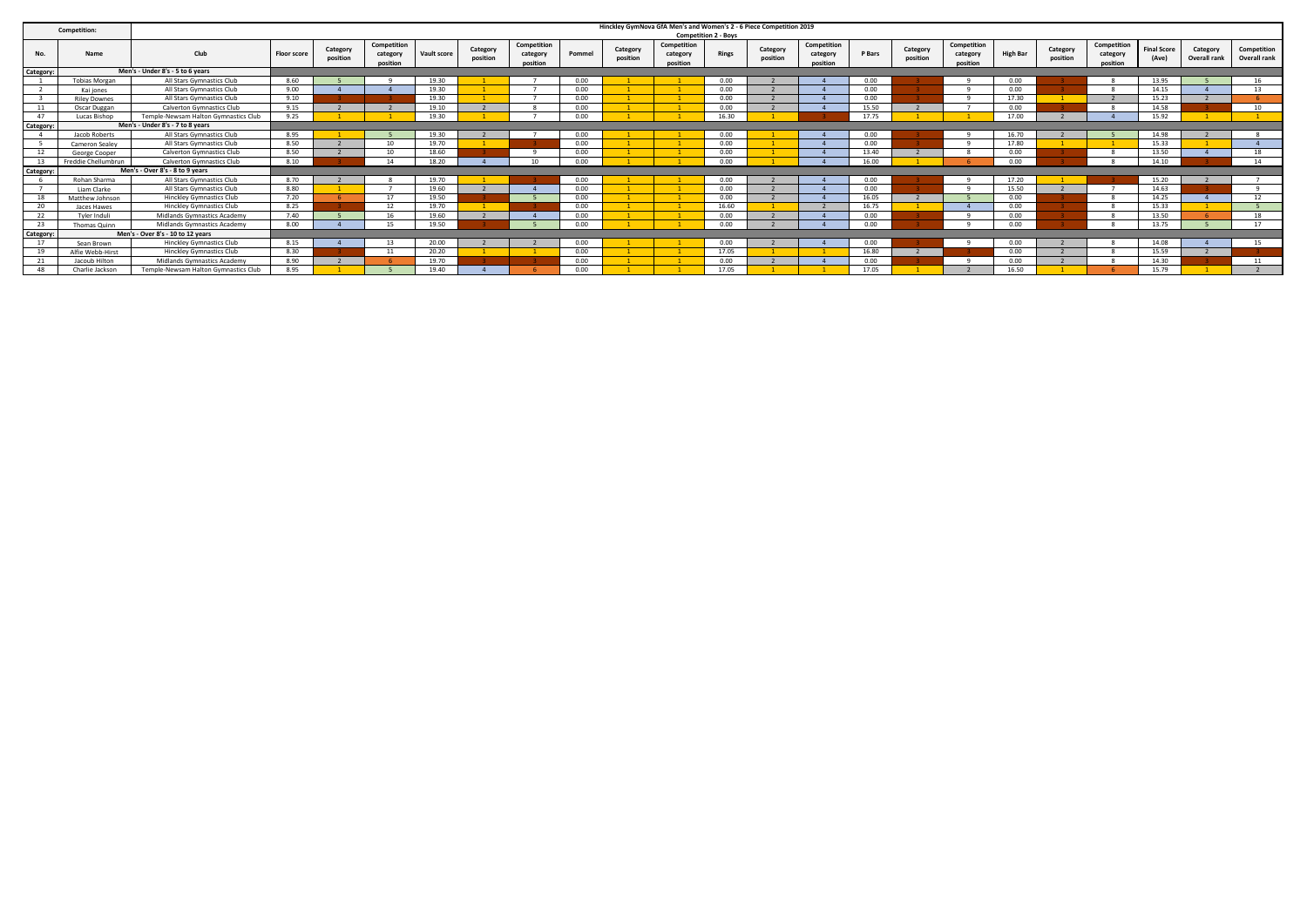|           | <b>Competition:</b>  |                                      |                    |                      |                                     |             |                      |                                     |        |                      | Hinckley GymNova GfA Men's and Women's 2 - 6 Piece Competition 2019 | <b>Competition 2 - Boys</b> |                      |                                     |        |                      |                                     |                 |                      |                                     |                             |                          |                             |
|-----------|----------------------|--------------------------------------|--------------------|----------------------|-------------------------------------|-------------|----------------------|-------------------------------------|--------|----------------------|---------------------------------------------------------------------|-----------------------------|----------------------|-------------------------------------|--------|----------------------|-------------------------------------|-----------------|----------------------|-------------------------------------|-----------------------------|--------------------------|-----------------------------|
|           | Name                 | Club                                 | <b>Floor score</b> | Category<br>position | Competition<br>category<br>position | Vault score | Category<br>position | Competition<br>category<br>position | Pommel | Category<br>position | Competition<br>category<br>position                                 | <b>Rings</b>                | Category<br>position | Competition<br>category<br>position | P Bars | Category<br>position | Competition<br>category<br>position | <b>High Bar</b> | Category<br>position | Competition<br>category<br>position | <b>Final Score</b><br>(Ave) | Category<br>Overall rank | Competition<br>Overall rank |
| Category: |                      | Men's - Under 8's - 5 to 6 years     |                    |                      |                                     |             |                      |                                     |        |                      |                                                                     |                             |                      |                                     |        |                      |                                     |                 |                      |                                     |                             |                          |                             |
|           | <b>Tobias Morgan</b> | All Stars Gymnastics Club            | 8.60               |                      |                                     | 19.30       |                      |                                     | 0.00   |                      |                                                                     | 0.00                        |                      |                                     | 0.00   |                      |                                     | 0.00            |                      |                                     | 13.95                       |                          | 16                          |
|           | Kai iones            | All Stars Gymnastics Club            | 9.00               |                      |                                     | 19.30       |                      |                                     | 0.00   |                      |                                                                     | 0.00                        |                      |                                     | 0.00   |                      | $\alpha$                            | 0.00            |                      |                                     | 14.15                       |                          | 13                          |
|           | <b>Riley Downes</b>  | All Stars Gymnastics Club            | 9.10               |                      |                                     | 19.30       |                      |                                     | 0.00   |                      |                                                                     | 0.00                        |                      |                                     | 0.00   |                      |                                     | 17.30           |                      |                                     | 15.23                       |                          |                             |
|           | Oscar Duggan         | <b>Calverton Gymnastics Club</b>     | 9.15               |                      |                                     | 19.10       |                      |                                     | 0.00   |                      |                                                                     | 0.00                        |                      |                                     | 15.50  |                      |                                     | 0.00            |                      |                                     | 14.58                       |                          | 10                          |
| 47        | Lucas Bishop         | Temple-Newsam Halton Gymnastics Club | 9.25               |                      |                                     | 19.30       |                      |                                     | 0.00   |                      |                                                                     | 16.30                       |                      |                                     | 17.75  |                      |                                     | 17.00           |                      |                                     | 15.92                       |                          |                             |
| Category: |                      | Men's - Under 8's - 7 to 8 years     |                    |                      |                                     |             |                      |                                     |        |                      |                                                                     |                             |                      |                                     |        |                      |                                     |                 |                      |                                     |                             |                          |                             |
|           | Jacob Roberts        | All Stars Gymnastics Club            | 8.95               |                      |                                     | 19.30       |                      |                                     | 0.00   |                      |                                                                     | 0.00                        |                      |                                     | 0.00   |                      |                                     | 16.70           |                      |                                     | 14.98                       |                          |                             |
|           | Cameron Sealev       | All Stars Gymnastics Club            | 8.50               |                      | 10                                  | 19.70       |                      |                                     | 0.00   |                      |                                                                     | 0.00                        |                      |                                     | 0.00   |                      | $\alpha$                            | 17.80           |                      |                                     | 15.33                       |                          |                             |
| 12        | George Cooper        | <b>Calverton Gymnastics Club</b>     | 8.50               |                      | 10 <sup>1</sup>                     | 18.60       |                      |                                     | 0.00   |                      |                                                                     | 0.00                        |                      |                                     | 13.40  |                      |                                     | 0.00            |                      |                                     | 13.50                       |                          | 18                          |
|           | Freddie Chellumbrun  | <b>Calverton Gymnastics Club</b>     | 8.10               |                      | 14                                  | 18.20       |                      | 10                                  | 0.00   |                      |                                                                     | 0.00                        |                      |                                     | 16.00  |                      |                                     | 0.00            |                      |                                     | 14.10                       |                          | 14                          |
| Category: |                      | Men's - Over 8's - 8 to 9 years      |                    |                      |                                     |             |                      |                                     |        |                      |                                                                     |                             |                      |                                     |        |                      |                                     |                 |                      |                                     |                             |                          |                             |
|           | Rohan Sharma         | All Stars Gymnastics Club            | 8.70               |                      |                                     | 19.70       |                      |                                     | 0.00   |                      |                                                                     | 0.00                        |                      |                                     | 0.00   |                      |                                     | 17.20           |                      |                                     | 15.20                       |                          |                             |
|           | Liam Clarke          | All Stars Gymnastics Club            | 8.80               |                      |                                     | 19.60       |                      |                                     | 0.00   |                      |                                                                     | 0.00                        |                      |                                     | 0.00   |                      |                                     | 15.50           |                      |                                     | 14.63                       |                          |                             |
| 18        | Matthew Johnson      | <b>Hinckley Gymnastics Club</b>      | 7.20               |                      | 17                                  | 19.50       |                      |                                     | 0.00   |                      |                                                                     | 0.00                        |                      |                                     | 16.05  |                      |                                     | 0.00            |                      |                                     | 14.25                       |                          | 12                          |
| 20        | Jaces Hawes          | <b>Hinckley Gymnastics Club</b>      | 8.25               |                      | 12                                  | 19.70       |                      |                                     | 0.00   |                      |                                                                     | 16.60                       |                      |                                     | 16.75  |                      |                                     | 0.00            |                      |                                     | 15.33                       |                          |                             |
| 22        | Tyler Induli         | Midlands Gymnastics Academy          | 7.40               |                      | 16                                  | 19.60       |                      |                                     | 0.00   |                      |                                                                     | 0.00                        |                      |                                     | 0.00   |                      |                                     | 0.00            |                      |                                     | 13.50                       |                          | 18                          |
| 23        | Thomas Quinn         | Midlands Gymnastics Academy          | 8.00               |                      | 15.                                 | 19.50       |                      |                                     | 0.00   |                      |                                                                     | 0.00                        |                      |                                     | 0.00   |                      |                                     | 0.00            |                      |                                     | 13.75                       |                          | 17                          |
| Category: |                      | Men's - Over 8's - 10 to 12 years    |                    |                      |                                     |             |                      |                                     |        |                      |                                                                     |                             |                      |                                     |        |                      |                                     |                 |                      |                                     |                             |                          |                             |
| 17        | Sean Brown           | <b>Hinckley Gymnastics Club</b>      | 8.15               |                      |                                     | 20.00       |                      |                                     | 0.00   |                      |                                                                     | 0.00                        |                      |                                     | 0.00   |                      |                                     | 0.00            |                      |                                     | 14.08                       |                          | 15                          |
| 19        | Alfie Webb-Hirst     | <b>Hinckley Gymnastics Club</b>      | 8.30               |                      | 11                                  | 20.20       |                      |                                     | 0.00   |                      |                                                                     | 17.05                       |                      |                                     | 16.80  |                      |                                     | 0.00            |                      |                                     | 15.59                       |                          |                             |
|           | Jacoub Hilton        | Midlands Gymnastics Academy          | 8.90               |                      |                                     | 19.70       |                      |                                     | 0.00   |                      |                                                                     | 0.00                        |                      |                                     | 0.00   |                      |                                     | 0.00            |                      |                                     | 14.30                       |                          | 11                          |
| 48        | Charlie Jackson      | Temple-Newsam Halton Gymnastics Club | 8.95               |                      |                                     | 19.40       |                      |                                     | 0.00   |                      |                                                                     | 17.05                       |                      |                                     | 17.05  |                      |                                     | 16.50           |                      |                                     | 15.79                       |                          |                             |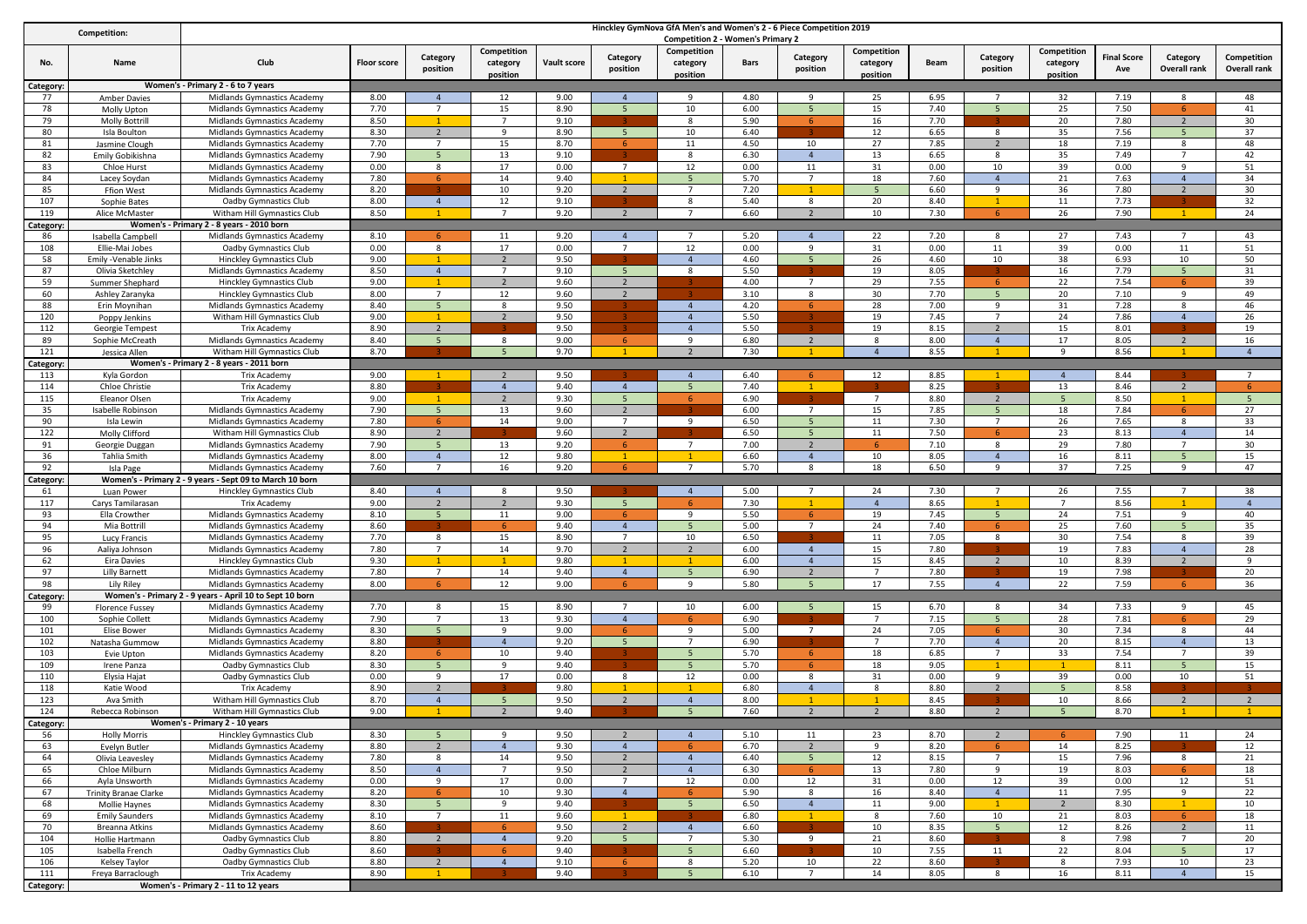| Competition: |                                       |                                                                |                    |                               |                                     |              |                                  | Hinckley GymNova GfA Men's and Women's 2 - 6 Piece Competition 2019             |              |                      |                                     |              |                                  |                                     |                           |                                  |                                    |
|--------------|---------------------------------------|----------------------------------------------------------------|--------------------|-------------------------------|-------------------------------------|--------------|----------------------------------|---------------------------------------------------------------------------------|--------------|----------------------|-------------------------------------|--------------|----------------------------------|-------------------------------------|---------------------------|----------------------------------|------------------------------------|
| No.          | Name                                  | Club                                                           | <b>Floor score</b> | Category<br>position          | Competition<br>category<br>position | Vault score  | Category<br>position             | <b>Competition 2 - Women's Primary 2</b><br>Competition<br>category<br>position | Bars         | Category<br>position | Competition<br>category<br>position | Beam         | Category<br>position             | Competition<br>category<br>position | <b>Final Score</b><br>Ave | Category<br><b>Overall rank</b>  | Competition<br><b>Overall rank</b> |
| Category:    |                                       | Women's - Primary 2 - 6 to 7 years                             |                    |                               |                                     |              |                                  |                                                                                 |              |                      |                                     |              |                                  |                                     |                           |                                  |                                    |
| 77           | <b>Amber Davies</b>                   | Midlands Gymnastics Academy                                    | 8.00               | $\overline{4}$                | 12                                  | 9.00         | $\overline{4}$                   | -9                                                                              | 4.80         | q                    | 25                                  | 6.95         |                                  | 32                                  | 7.19                      | 8                                | 48                                 |
| 78           | Molly Upton                           | Midlands Gymnastics Academy                                    | 7.70               | $\overline{7}$                | 15                                  | 8.90         | 5                                | 10                                                                              | 6.00         | $\overline{5}$       | 15                                  | 7.40         | $\overline{5}$                   | 25                                  | 7.50                      | 6.                               | 41                                 |
| 79           | <b>Molly Bottrill</b>                 | Midlands Gymnastics Academy                                    | 8.50               |                               |                                     | 9.10         |                                  | 8                                                                               | 5.90         | -6                   | 16                                  | 7.70         |                                  | 20                                  | 7.80                      | $\overline{2}$                   | 30                                 |
| 80           | Isla Boulton                          | Midlands Gymnastics Academy                                    | 8.30<br>7.70       | $\overline{\phantom{a}}$      | 9                                   | 8.90<br>8.70 | 5 <sup>5</sup>                   | 10                                                                              | 6.40         |                      | 12<br>27                            | 6.65         | 8                                | 35                                  | 7.56                      | $\overline{5}$<br>8              | 37<br>48                           |
| 81<br>82     | Jasmine Clough<br>Emily Gobikishna    | Midlands Gymnastics Academy<br>Midlands Gymnastics Academy     | 7.90               | 5                             | 15<br>13                            | 9.10         | 6                                | 11<br>8                                                                         | 4.50<br>6.30 | 10<br>$\overline{4}$ | 13                                  | 7.85<br>6.65 | $\overline{2}$<br>8              | 18<br>35                            | 7.19<br>7.49              | $\overline{7}$                   | 42                                 |
| 83           | Chloe Hurst                           | Midlands Gymnastics Academy                                    | 0.00               | 8                             | 17                                  | 0.00         | $\overline{7}$                   | 12                                                                              | 0.00         | 11                   | 31                                  | 0.00         | 10                               | 39                                  | 0.00                      | 9                                | 51                                 |
| 84           | Lacey Soydan                          | Midlands Gymnastics Academy                                    | 7.80               | 6                             | 14                                  | 9.40         |                                  | 5                                                                               | 5.70         | $7\overline{ }$      | 18                                  | 7.60         | $\overline{4}$                   | 21                                  | 7.63                      | $\overline{4}$                   | 34                                 |
| 85           | Ffion West                            | Midlands Gymnastics Academy                                    | 8.20               |                               | 10                                  | 9.20         | 2                                | $\overline{7}$                                                                  | 7.20         |                      |                                     | 6.60         | 9                                | 36                                  | 7.80                      | 2                                | 30                                 |
| 107          | Sophie Bates                          | Oadby Gymnastics Club                                          | 8.00               | $\overline{4}$                | 12                                  | 9.10         |                                  | 8                                                                               | 5.40         | 8                    | 20                                  | 8.40         | $\mathbf{1}$                     | 11                                  | 7.73                      |                                  | 32                                 |
| 119          | Alice McMaster                        | Witham Hill Gymnastics Club                                    | 8.50               |                               |                                     | 9.20         | $\overline{2}$                   |                                                                                 | 6.60         | 2                    | 10                                  | 7.30         |                                  | 26                                  | 7.90                      |                                  | 24                                 |
| ategory      |                                       | Women's - Primary 2 - 8 years - 2010 born                      |                    |                               |                                     |              |                                  |                                                                                 |              |                      |                                     | 7.20         |                                  |                                     |                           |                                  |                                    |
| 86<br>108    | Isabella Campbell<br>Ellie-Mai Jobes  | Midlands Gymnastics Academy<br>Oadby Gymnastics Club           | 8.10<br>0.00       | 8                             | 11<br>17                            | 9.20<br>0.00 | $\overline{4}$<br>$\overline{7}$ | 12                                                                              | 5.20<br>0.00 | $\overline{4}$<br>9  | 22<br>31                            | 0.00         | 8<br>11                          | 27<br>39                            | 7.43<br>0.00              | 11                               | 43<br>51                           |
| 58           | Emily -Venable Jinks                  | <b>Hinckley Gymnastics Club</b>                                | 9.00               |                               | $\overline{2}$                      | 9.50         |                                  | $\overline{4}$                                                                  | 4.60         | $5^{\circ}$          | 26                                  | 4.60         | 10                               | 38                                  | 6.93                      | 10                               | 50                                 |
| 87           | Olivia Sketchley                      | Midlands Gymnastics Academy                                    | 8.50               | $\overline{4}$                | $\overline{7}$                      | 9.10         | 5                                | 8                                                                               | 5.50         |                      | 19                                  | 8.05         |                                  | 16                                  | 7.79                      | 5 <sup>5</sup>                   | 31                                 |
| 59           | Summer Shephard                       | <b>Hinckley Gymnastics Club</b>                                | 9.00               |                               | $\overline{2}$                      | 9.60         | $\overline{2}$                   |                                                                                 | 4.00         | $\overline{7}$       | 29                                  | 7.55         | 6                                | 22                                  | 7.54                      | 6                                | 39                                 |
| 60           | Ashley Zaranyka                       | <b>Hinckley Gymnastics Club</b>                                | 8.00               | $\overline{7}$                | 12                                  | 9.60         | $\overline{2}$                   |                                                                                 | 3.10         | -8                   | 30                                  | 7.70         | 5                                | 20                                  | 7.10                      | 9                                | 49                                 |
| 88           | Erin Moynihan                         | Midlands Gymnastics Academy                                    | 8.40               | 5                             | 8                                   | 9.50         |                                  | $\overline{4}$                                                                  | 4.20         | 6.                   | 28                                  | 7.00         | 9                                | 31                                  | 7.28                      | 8                                | 46                                 |
| 120          | Poppy Jenkins                         | Witham Hill Gymnastics Club                                    | 9.00               | $\mathbf{1}$                  | $\overline{2}$                      | 9.50         |                                  | $\overline{4}$                                                                  | 5.50         |                      | 19                                  | 7.45         | 7                                | 24                                  | 7.86                      | $\overline{4}$                   | 26                                 |
| 112<br>89    | Georgie Tempest                       | Trix Academy<br>Midlands Gymnastics Academy                    | 8.90<br>8.40       | $\overline{2}$<br>- 5         | 8                                   | 9.50<br>9.00 |                                  | $\overline{4}$<br>9                                                             | 5.50<br>6.80 |                      | 19<br>8                             | 8.15<br>8.00 | $\overline{2}$<br>$\overline{4}$ | 15<br>17                            | 8.01<br>8.05              |                                  | 19<br>16                           |
| 121          | Sophie McCreath<br>Jessica Allen      | Witham Hill Gymnastics Club                                    | 8.70               |                               |                                     | 9.70         | -6                               | $\overline{2}$                                                                  | 7.30         | $\overline{2}$       | $\overline{4}$                      | 8.55         |                                  | q                                   | 8.56                      | $\overline{2}$                   | $\overline{4}$                     |
| Category     |                                       | Women's - Primary 2 - 8 years - 2011 born                      |                    |                               |                                     |              |                                  |                                                                                 |              |                      |                                     |              |                                  |                                     |                           |                                  |                                    |
| 113          | Kyla Gordon                           | Trix Academy                                                   | 9.00               |                               | $\overline{2}$                      | 9.50         |                                  | $\overline{4}$                                                                  | 6.40         | -6                   | 12                                  | 8.85         |                                  | $\overline{4}$                      | 8.44                      |                                  | $\overline{7}$                     |
| 114          | Chloe Christie                        | Trix Academy                                                   | 8.80               |                               | $\overline{4}$                      | 9.40         | $\overline{4}$                   | 5                                                                               | 7.40         | -1                   |                                     | 8.25         |                                  | 13                                  | 8.46                      | 2                                | -6                                 |
| 115          | Eleanor Olsen                         | <b>Trix Academy</b>                                            | 9.00               |                               | $\overline{2}$                      | 9.30         | 5                                | -6                                                                              | 6.90         |                      | $\overline{7}$                      | 8.80         | $\overline{2}$                   |                                     | 8.50                      | $\mathbf{1}$                     | 5                                  |
| 35           | <b>Isabelle Robinson</b>              | Midlands Gymnastics Academy                                    | 7.90               | - 5                           | 13                                  | 9.60         | $\overline{2}$                   |                                                                                 | 6.00         | 7                    | 15                                  | 7.85         | - 5                              | 18                                  | 7.84                      | 6                                | 27                                 |
| 90           | Isla Lewin                            | Midlands Gymnastics Academy                                    | 7.80               | 6                             | 14                                  | 9.00         | $\overline{7}$                   | 9                                                                               | 6.50         | -5                   | 11                                  | 7.30         | $\overline{7}$                   | 26                                  | 7.65                      | 8                                | 33                                 |
| 122<br>91    | Molly Clifford                        | Witham Hill Gymnastics Club                                    | 8.90<br>7.90       | $\overline{2}$<br>5           | 13                                  | 9.60<br>9.20 | $\overline{2}$<br>6              | $\overline{7}$                                                                  | 6.50<br>7.00 | -5<br>$\overline{2}$ | 11<br><b>6</b>                      | 7.50<br>7.10 | 8                                | 23<br>29                            | 8.13<br>7.80              | $\overline{4}$<br>$\overline{7}$ | 14<br>30                           |
| 36           | Georgie Duggan<br><b>Tahlia Smith</b> | Midlands Gymnastics Academy<br>Midlands Gymnastics Academy     | 8.00               | $\overline{4}$                | 12                                  | 9.80         | -1                               |                                                                                 | 6.60         | $\overline{4}$       | 10                                  | 8.05         | $\overline{4}$                   | 16                                  | 8.11                      | 5                                | 15                                 |
| 92           | Isla Page                             | Midlands Gymnastics Academy                                    | 7.60               | $\overline{7}$                | 16                                  | 9.20         | -6                               |                                                                                 | 5.70         | 8                    | 18                                  | 6.50         | 9                                | 37                                  | 7.25                      | 9                                | 47                                 |
| ategory:     |                                       | Women's - Primary 2 - 9 years - Sept 09 to March 10 born       |                    |                               |                                     |              |                                  |                                                                                 |              |                      |                                     |              |                                  |                                     |                           |                                  |                                    |
| 61           | Luan Power                            | <b>Hinckley Gymnastics Club</b>                                | 8.40               | $\Delta$                      | -8                                  | 9.50         |                                  | $\mathbf{A}$                                                                    | 5.00         | $\overline{7}$       | 24                                  | 7.30         |                                  | 26                                  | 7.55                      |                                  | 38                                 |
| 117          | Carys Tamilarasan                     | <b>Trix Academy</b>                                            | 9.00               | $\overline{2}$                | $\overline{2}$                      | 9.30         | 5 <sup>5</sup>                   | - 6                                                                             | 7.30         | $\overline{1}$       | $\overline{4}$                      | 8.65         |                                  | 7                                   | 8.56                      |                                  | $\overline{4}$                     |
| 93           | Ella Crowther                         | Midlands Gymnastics Academy                                    | 8.10               | $\overline{5}$                | $11\,$                              | 9.00         | -6                               | 9                                                                               | 5.50         | -6                   | 19                                  | 7.45         | $\overline{5}$                   | 24                                  | 7.51                      | 9                                | 40                                 |
| 94           | Mia Bottrill                          | Midlands Gymnastics Academy                                    | 8.60               | 8                             |                                     | 9.40         | $\overline{4}$<br>$\overline{7}$ |                                                                                 | 5.00         | 7                    | 24                                  | 7.40         | 8                                | 25                                  | 7.60                      | 5<br>8                           | 35                                 |
| 95<br>96     | Lucy Francis<br>Aaliya Johnson        | Midlands Gymnastics Academy<br>Midlands Gymnastics Academy     | 7.70<br>7.80       |                               | 15<br>14                            | 8.90<br>9.70 | $\overline{2}$                   | 10<br>$\overline{2}$                                                            | 6.50<br>6.00 | $\overline{4}$       | 11<br>15                            | 7.05<br>7.80 |                                  | 30<br>19                            | 7.54<br>7.83              | $\overline{4}$                   | 39<br>28                           |
| 62           | <b>Eira Davies</b>                    | <b>Hinckley Gymnastics Club</b>                                | 9.30               |                               | $\overline{1}$                      | 9.80         |                                  |                                                                                 | 6.00         | $\overline{4}$       | 15                                  | 8.45         | $\overline{2}$                   | 10                                  | 8.39                      | $\overline{2}$                   | 9                                  |
| 97           | <b>Lilly Barnett</b>                  | Midlands Gymnastics Academy                                    | 7.80               | $\overline{7}$                | 14                                  | 9.40         | $\overline{4}$                   |                                                                                 | 6.90         |                      |                                     | 7.80         |                                  | 19                                  | 7.98                      |                                  | 20                                 |
| 98           | Lily Riley                            | Midlands Gymnastics Academy                                    | 8.00               |                               | 12                                  | 9.00         | 6                                | -9                                                                              | 5.80         |                      | 17                                  | 7.55         | $\overline{4}$                   | 22                                  | 7.59                      | $\overline{a}$                   | 36                                 |
| ategory:     |                                       | Women's - Primary 2 - 9 years - April 10 to Sept 10 born       |                    |                               |                                     |              |                                  |                                                                                 |              |                      |                                     |              |                                  |                                     |                           |                                  |                                    |
| 99           | <b>Florence Fussey</b>                | Midlands Gymnastics Academy                                    | 7.70               | 8                             | 15                                  | 8.90         | $\overline{7}$                   | 10                                                                              | 6.00         | 5                    | 15                                  | 6.70         | 8                                | 34                                  | 7.33                      | 9                                | 45                                 |
| 100          | Sophie Collett                        | Midlands Gymnastics Academy                                    | 7.90               |                               | 13                                  | 9.30         | $\overline{4}$                   | 6                                                                               | 6.90         |                      | $\overline{7}$                      | 7.15         | 5                                | 28                                  | 7.81                      | -6                               | 29                                 |
| 101<br>102   | <b>Elise Bower</b><br>Natasha Gummow  | Midlands Gymnastics Academy<br>Midlands Gymnastics Academy     | 8.30<br>8.80       | 5                             | 9<br>$\overline{4}$                 | 9.00<br>9.20 | 6<br>5 <sup>5</sup>              | 9<br>$\overline{7}$                                                             | 5.00<br>6.90 | $\overline{7}$       | 24<br>$\overline{7}$                | 7.05<br>7.70 | 6<br>$\overline{4}$              | 30<br>20                            | 7.34<br>8.15              | 8<br>$\overline{4}$              | 44<br>13                           |
| 103          | Evie Upton                            | Midlands Gymnastics Academy                                    | 8.20               | -6                            | 10                                  | 9.40         |                                  | 5                                                                               | 5.70         | 6                    | 18                                  | 6.85         | $\overline{7}$                   | 33                                  | 7.54                      | $\overline{7}$                   | 39                                 |
| 109          | Irene Panza                           | Oadby Gymnastics Club                                          | 8.30               | 5                             | 9                                   | 9.40         |                                  | 5                                                                               | 5.70         |                      | 18                                  | 9.05         |                                  |                                     | 8.11                      | 5                                | 15                                 |
| 110          | Elysia Hajat                          | Oadby Gymnastics Club                                          | 0.00               | 9                             | 17                                  | 0.00         | 8                                | 12                                                                              | 0.00         | 8                    | 31                                  | 0.00         | 9                                | 39                                  | 0.00                      | 10                               | 51                                 |
| 118          | Katie Wood                            | <b>Trix Academy</b>                                            | 8.90               | $\overline{2}$                |                                     | 9.80         |                                  |                                                                                 | 6.80         | $\overline{4}$       | 8                                   | 8.80         | $\overline{2}$                   | 5 <sub>1</sub>                      | 8.58                      |                                  |                                    |
| 123          | Ava Smith                             | Witham Hill Gymnastics Club                                    | 8.70               | $\overline{4}$                | -5                                  | 9.50         | 2                                | $\overline{4}$                                                                  | 8.00         | $\overline{1}$       | $\mathbf{1}$                        | 8.45         |                                  | 10                                  | 8.66                      | 2                                | $\overline{2}$                     |
| 124          | Rebecca Robinson                      | Witham Hill Gymnastics Club                                    | 9.00               |                               | $\overline{2}$                      | 9.40         |                                  | 5                                                                               | 7.60         | $\overline{2}$       | $\overline{2}$                      | 8.80         | $\overline{2}$                   |                                     | 8.70                      |                                  |                                    |
| Category:    |                                       | Women's - Primary 2 - 10 years                                 |                    |                               |                                     |              |                                  |                                                                                 |              |                      |                                     |              |                                  |                                     |                           |                                  |                                    |
| 56<br>63     | <b>Holly Morris</b><br>Evelyn Butler  | <b>Hinckley Gymnastics Club</b><br>Midlands Gymnastics Academy | 8.30<br>8.80       | 5<br>$\overline{\phantom{a}}$ | 9<br>$\overline{4}$                 | 9.50<br>9.30 | $\overline{2}$<br>$\overline{4}$ | $\overline{4}$<br>6                                                             | 5.10<br>6.70 | 11<br>2              | 23<br>9                             | 8.70<br>8.20 | $\overline{2}$<br>6              | 14                                  | 7.90<br>8.25              | 11                               | 24<br>12                           |
| 64           | Olivia Leavesley                      | Midlands Gymnastics Academy                                    | 7.80               | 8                             | 14                                  | 9.50         | $\overline{2}$                   | $\overline{4}$                                                                  | 6.40         | 5 <sup>5</sup>       | 12                                  | 8.15         | $\overline{7}$                   | 15                                  | 7.96                      | 8                                | 21                                 |
| 65           | Chloe Milburn                         | Midlands Gymnastics Academy                                    | 8.50               | $\overline{4}$                | $\overline{7}$                      | 9.50         | $\overline{2}$                   | $\overline{4}$                                                                  | 6.30         | 6 <sup>1</sup>       | 13                                  | 7.80         | 9                                | 19                                  | 8.03                      | 6 <sup>1</sup>                   | 18                                 |
| 66           | Ayla Unsworth                         | Midlands Gymnastics Academy                                    | 0.00               | 9                             | 17                                  | 0.00         | $\overline{7}$                   | 12                                                                              | 0.00         | 12                   | 31                                  | 0.00         | 12                               | 39                                  | 0.00                      | 12                               | 51                                 |
| 67           | <b>Trinity Branae Clarke</b>          | Midlands Gymnastics Academy                                    | 8.20               | 6                             | 10                                  | 9.30         | $\overline{4}$                   | -6                                                                              | 5.90         | 8                    | 16                                  | 8.40         | $\overline{4}$                   | 11                                  | 7.95                      | 9                                | 22                                 |
| 68           | Mollie Haynes                         | Midlands Gymnastics Academy                                    | 8.30               | $5\phantom{.0}$               | 9                                   | 9.40         |                                  | 5 <sup>5</sup>                                                                  | 6.50         | $\overline{4}$       | 11                                  | 9.00         |                                  | $\overline{2}$                      | 8.30                      | 1                                | 10                                 |
| 69           | <b>Emily Saunders</b>                 | Midlands Gymnastics Academy                                    | 8.10               | $\overline{7}$                | 11                                  | 9.60         | $\mathbf{1}$                     |                                                                                 | 6.80         | $\mathbf{1}$         | 8                                   | 7.60         | 10                               | 21                                  | 8.03                      | 6                                | 18                                 |
| 70<br>104    | Breanna Atkins                        | Midlands Gymnastics Academy<br>Oadby Gymnastics Club           | 8.60<br>8.80       | $\overline{2}$                | $\overline{4}$                      | 9.50<br>9.20 | $\overline{2}$<br>5 <sup>5</sup> | $\overline{4}$<br>$\overline{7}$                                                | 6.60<br>5.30 | 9                    | 10<br>21                            | 8.35<br>8.60 | 5 <sup>1</sup>                   | 12<br>8                             | 8.26<br>7.98              | $\overline{2}$<br>$\overline{7}$ | 11<br>20                           |
| 105          | Hollie Hartmann<br>Isabella French    | Oadby Gymnastics Club                                          | 8.60               |                               |                                     | 9.40         |                                  | 5                                                                               | 6.60         |                      | 10                                  | 7.55         | 11                               | 22                                  | 8.04                      | 5                                | 17                                 |
| 106          | Kelsey Taylor                         | Oadby Gymnastics Club                                          | 8.80               | $\overline{2}$                | $\overline{4}$                      | 9.10         | 6 <sup>6</sup>                   | 8                                                                               | 5.20         | 10                   | 22                                  | 8.60         |                                  | 8                                   | 7.93                      | 10                               | 23                                 |
| 111          | Freya Barraclough                     | <b>Trix Academy</b>                                            | 8.90               |                               |                                     | 9.40         |                                  | 5                                                                               | 6.10         | $7^{\circ}$          | 14                                  | 8.05         | 8                                | 16                                  | 8.11                      | $\overline{4}$                   | 15                                 |
| Category:    |                                       | Women's - Primary 2 - 11 to 12 years                           |                    |                               |                                     |              |                                  |                                                                                 |              |                      |                                     |              |                                  |                                     |                           |                                  |                                    |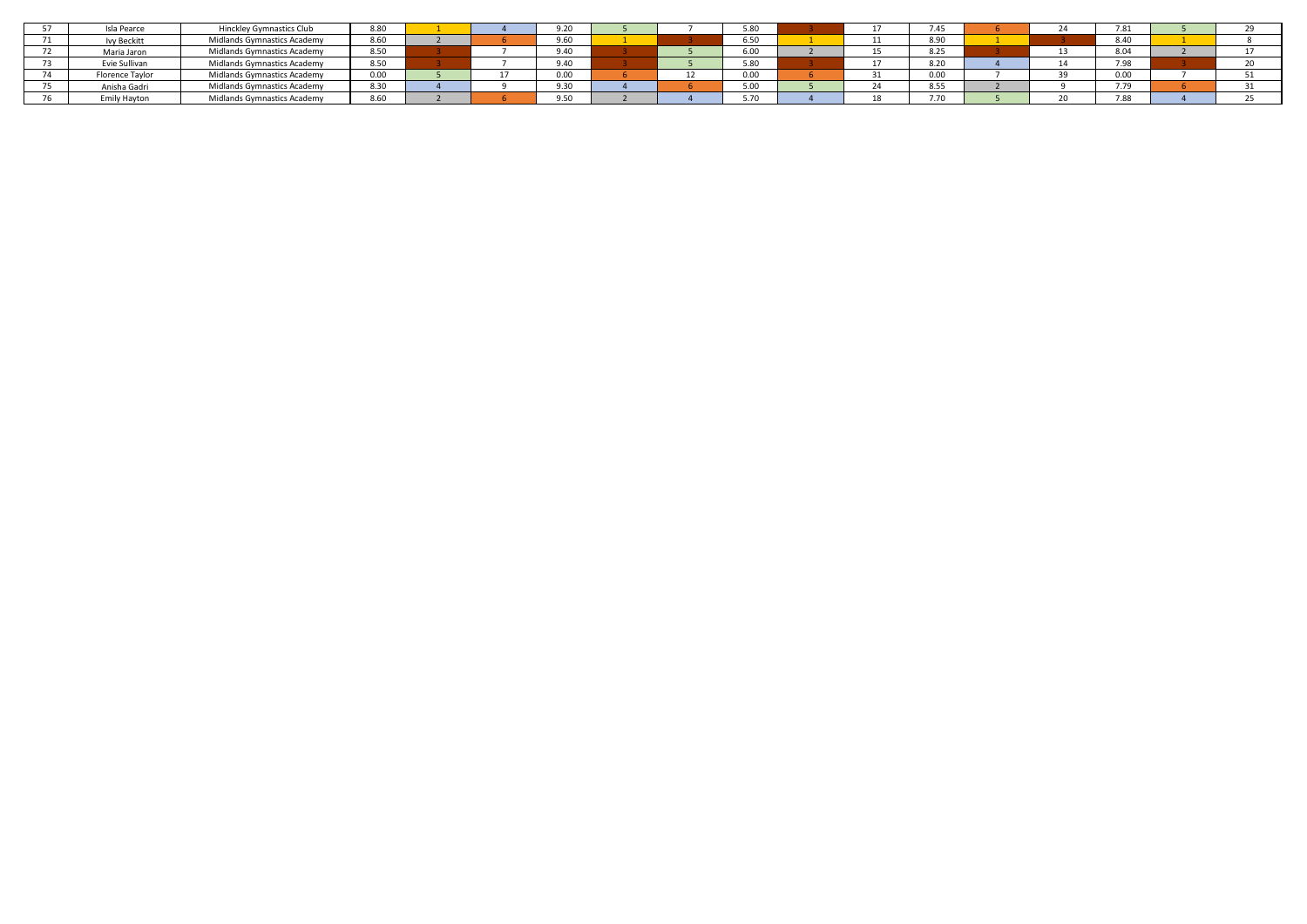| Isla Pearce       | <b>Hinckley Gymnastics Club</b> | 8.80 |  | 9.20 |  | 5.80            |  | 7.45 |  | 7.81        |  |
|-------------------|---------------------------------|------|--|------|--|-----------------|--|------|--|-------------|--|
| <b>Vy Beckitt</b> | Midlands Gymnastics Academy     | 8.60 |  | 9.60 |  | 6.50            |  | 8.90 |  | 8.40        |  |
| Maria Jaron       | Midlands Gymnastics Academy     | 8.50 |  | 9.40 |  | 6.00            |  | 8.25 |  | 8.04        |  |
| Evie Sullivan     | Midlands Gymnastics Academy     | 8.50 |  | 9.40 |  | 5.90<br>J.OU    |  | 8.20 |  | 7.98        |  |
| Florence Taylor   | Midlands Gymnastics Academy     | 0.00 |  | 0.00 |  | 0.00            |  | 0.00 |  | 0.00        |  |
| Anisha Gadri      | Midlands Gymnastics Academy     | 8.30 |  | 9.30 |  | $E_{0}$<br>J.UU |  | 8.55 |  | 770<br>1.19 |  |
| Emily Hayton      | Midlands Gymnastics Academy     | 8.60 |  | 9.50 |  | 5.70            |  | 7.70 |  | 7.88        |  |